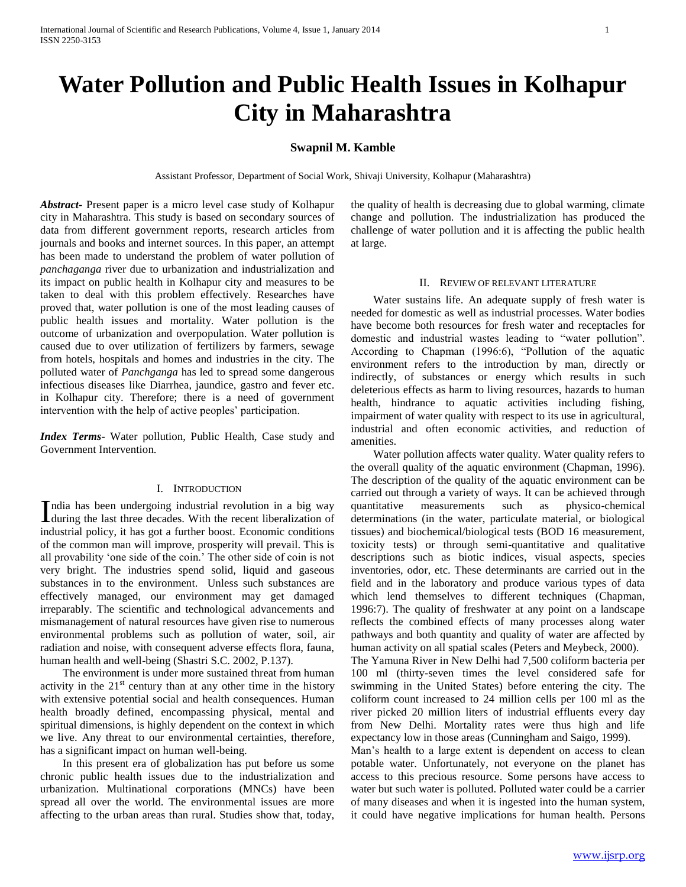# **Water Pollution and Public Health Issues in Kolhapur City in Maharashtra**

# **Swapnil M. Kamble**

Assistant Professor, Department of Social Work, Shivaji University, Kolhapur (Maharashtra)

*Abstract***-** Present paper is a micro level case study of Kolhapur city in Maharashtra. This study is based on secondary sources of data from different government reports, research articles from journals and books and internet sources. In this paper, an attempt has been made to understand the problem of water pollution of *panchaganga* river due to urbanization and industrialization and its impact on public health in Kolhapur city and measures to be taken to deal with this problem effectively. Researches have proved that, water pollution is one of the most leading causes of public health issues and mortality. Water pollution is the outcome of urbanization and overpopulation. Water pollution is caused due to over utilization of fertilizers by farmers, sewage from hotels, hospitals and homes and industries in the city. The polluted water of *Panchganga* has led to spread some dangerous infectious diseases like Diarrhea, jaundice, gastro and fever etc. in Kolhapur city. Therefore; there is a need of government intervention with the help of active peoples' participation.

*Index Terms*- Water pollution, Public Health, Case study and Government Intervention.

# I. INTRODUCTION

ndia has been undergoing industrial revolution in a big way India has been undergoing industrial revolution in a big way during the last three decades. With the recent liberalization of industrial policy, it has got a further boost. Economic conditions of the common man will improve, prosperity will prevail. This is all provability 'one side of the coin.' The other side of coin is not very bright. The industries spend solid, liquid and gaseous substances in to the environment. Unless such substances are effectively managed, our environment may get damaged irreparably. The scientific and technological advancements and mismanagement of natural resources have given rise to numerous environmental problems such as pollution of water, soil, air radiation and noise, with consequent adverse effects flora, fauna, human health and well-being (Shastri S.C. 2002, P.137).

 The environment is under more sustained threat from human activity in the  $21<sup>st</sup>$  century than at any other time in the history with extensive potential social and health consequences. Human health broadly defined, encompassing physical, mental and spiritual dimensions, is highly dependent on the context in which we live. Any threat to our environmental certainties, therefore, has a significant impact on human well-being.

 In this present era of globalization has put before us some chronic public health issues due to the industrialization and urbanization. Multinational corporations (MNCs) have been spread all over the world. The environmental issues are more affecting to the urban areas than rural. Studies show that, today,

the quality of health is decreasing due to global warming, climate change and pollution. The industrialization has produced the challenge of water pollution and it is affecting the public health at large.

## II. REVIEW OF RELEVANT LITERATURE

 Water sustains life. An adequate supply of fresh water is needed for domestic as well as industrial processes. Water bodies have become both resources for fresh water and receptacles for domestic and industrial wastes leading to "water pollution". According to Chapman (1996:6), "Pollution of the aquatic environment refers to the introduction by man, directly or indirectly, of substances or energy which results in such deleterious effects as harm to living resources, hazards to human health, hindrance to aquatic activities including fishing, impairment of water quality with respect to its use in agricultural, industrial and often economic activities, and reduction of amenities.

 Water pollution affects water quality. Water quality refers to the overall quality of the aquatic environment (Chapman, 1996). The description of the quality of the aquatic environment can be carried out through a variety of ways. It can be achieved through quantitative measurements such as physico-chemical determinations (in the water, particulate material, or biological tissues) and biochemical/biological tests (BOD 16 measurement, toxicity tests) or through semi-quantitative and qualitative descriptions such as biotic indices, visual aspects, species inventories, odor, etc. These determinants are carried out in the field and in the laboratory and produce various types of data which lend themselves to different techniques (Chapman, 1996:7). The quality of freshwater at any point on a landscape reflects the combined effects of many processes along water pathways and both quantity and quality of water are affected by human activity on all spatial scales (Peters and Meybeck, 2000).

The Yamuna River in New Delhi had 7,500 coliform bacteria per 100 ml (thirty-seven times the level considered safe for swimming in the United States) before entering the city. The coliform count increased to 24 million cells per 100 ml as the river picked 20 million liters of industrial effluents every day from New Delhi. Mortality rates were thus high and life expectancy low in those areas (Cunningham and Saigo, 1999).

Man's health to a large extent is dependent on access to clean potable water. Unfortunately, not everyone on the planet has access to this precious resource. Some persons have access to water but such water is polluted. Polluted water could be a carrier of many diseases and when it is ingested into the human system, it could have negative implications for human health. Persons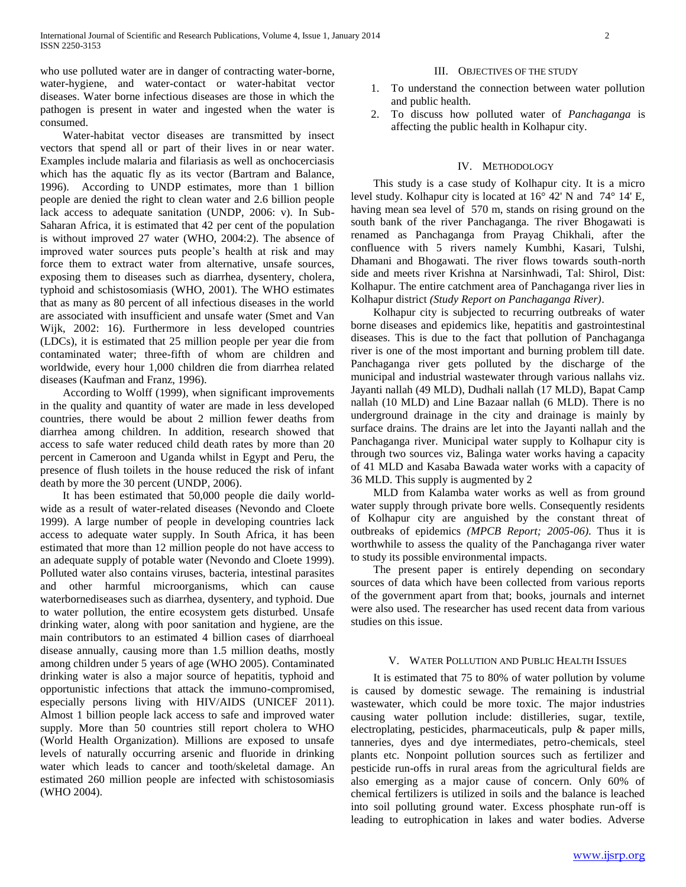who use polluted water are in danger of contracting water-borne, water-hygiene, and water-contact or water-habitat vector diseases. Water borne infectious diseases are those in which the pathogen is present in water and ingested when the water is consumed.

 Water-habitat vector diseases are transmitted by insect vectors that spend all or part of their lives in or near water. Examples include malaria and filariasis as well as onchocerciasis which has the aquatic fly as its vector (Bartram and Balance, 1996). According to UNDP estimates, more than 1 billion people are denied the right to clean water and 2.6 billion people lack access to adequate sanitation (UNDP, 2006: v). In Sub-Saharan Africa, it is estimated that 42 per cent of the population is without improved 27 water (WHO, 2004:2). The absence of improved water sources puts people's health at risk and may force them to extract water from alternative, unsafe sources, exposing them to diseases such as diarrhea, dysentery, cholera, typhoid and schistosomiasis (WHO, 2001). The WHO estimates that as many as 80 percent of all infectious diseases in the world are associated with insufficient and unsafe water (Smet and Van Wijk, 2002: 16). Furthermore in less developed countries (LDCs), it is estimated that 25 million people per year die from contaminated water; three-fifth of whom are children and worldwide, every hour 1,000 children die from diarrhea related diseases (Kaufman and Franz, 1996).

 According to Wolff (1999), when significant improvements in the quality and quantity of water are made in less developed countries, there would be about 2 million fewer deaths from diarrhea among children. In addition, research showed that access to safe water reduced child death rates by more than 20 percent in Cameroon and Uganda whilst in Egypt and Peru, the presence of flush toilets in the house reduced the risk of infant death by more the 30 percent (UNDP, 2006).

 It has been estimated that 50,000 people die daily worldwide as a result of water-related diseases (Nevondo and Cloete 1999). A large number of people in developing countries lack access to adequate water supply. In South Africa, it has been estimated that more than 12 million people do not have access to an adequate supply of potable water (Nevondo and Cloete 1999). Polluted water also contains viruses, bacteria, intestinal parasites and other harmful microorganisms, which can cause waterbornediseases such as diarrhea, dysentery, and typhoid. Due to water pollution, the entire ecosystem gets disturbed. Unsafe drinking water, along with poor sanitation and hygiene, are the main contributors to an estimated 4 billion cases of diarrhoeal disease annually, causing more than 1.5 million deaths, mostly among children under 5 years of age (WHO 2005). Contaminated drinking water is also a major source of hepatitis, typhoid and opportunistic infections that attack the immuno-compromised, especially persons living with HIV/AIDS (UNICEF 2011). Almost 1 billion people lack access to safe and improved water supply. More than 50 countries still report cholera to WHO (World Health Organization). Millions are exposed to unsafe levels of naturally occurring arsenic and fluoride in drinking water which leads to cancer and tooth/skeletal damage. An estimated 260 million people are infected with schistosomiasis (WHO 2004).

## III. OBJECTIVES OF THE STUDY

- 1. To understand the connection between water pollution and public health.
- 2. To discuss how polluted water of *Panchaganga* is affecting the public health in Kolhapur city.

# IV. METHODOLOGY

 This study is a case study of Kolhapur city. It is a micro level study. Kolhapur city is located at 16° 42' N and 74° 14' E, having mean sea level of 570 m, stands on rising ground on the south bank of the river Panchaganga. The river Bhogawati is renamed as Panchaganga from Prayag Chikhali, after the confluence with 5 rivers namely Kumbhi, Kasari, Tulshi, Dhamani and Bhogawati. The river flows towards south-north side and meets river Krishna at Narsinhwadi, Tal: Shirol, Dist: Kolhapur. The entire catchment area of Panchaganga river lies in Kolhapur district *(Study Report on Panchaganga River)*.

 Kolhapur city is subjected to recurring outbreaks of water borne diseases and epidemics like, hepatitis and gastrointestinal diseases. This is due to the fact that pollution of Panchaganga river is one of the most important and burning problem till date. Panchaganga river gets polluted by the discharge of the municipal and industrial wastewater through various nallahs viz. Jayanti nallah (49 MLD), Dudhali nallah (17 MLD), Bapat Camp nallah (10 MLD) and Line Bazaar nallah (6 MLD). There is no underground drainage in the city and drainage is mainly by surface drains. The drains are let into the Jayanti nallah and the Panchaganga river. Municipal water supply to Kolhapur city is through two sources viz, Balinga water works having a capacity of 41 MLD and Kasaba Bawada water works with a capacity of 36 MLD. This supply is augmented by 2

 MLD from Kalamba water works as well as from ground water supply through private bore wells. Consequently residents of Kolhapur city are anguished by the constant threat of outbreaks of epidemics *(MPCB Report; 2005-06)*. Thus it is worthwhile to assess the quality of the Panchaganga river water to study its possible environmental impacts.

 The present paper is entirely depending on secondary sources of data which have been collected from various reports of the government apart from that; books, journals and internet were also used. The researcher has used recent data from various studies on this issue.

# V. WATER POLLUTION AND PUBLIC HEALTH ISSUES

 It is estimated that 75 to 80% of water pollution by volume is caused by domestic sewage. The remaining is industrial wastewater, which could be more toxic. The major industries causing water pollution include: distilleries, sugar, textile, electroplating, pesticides, pharmaceuticals, pulp & paper mills, tanneries, dyes and dye intermediates, petro-chemicals, steel plants etc. Nonpoint pollution sources such as fertilizer and pesticide run-offs in rural areas from the agricultural fields are also emerging as a major cause of concern. Only 60% of chemical fertilizers is utilized in soils and the balance is leached into soil polluting ground water. Excess phosphate run-off is leading to eutrophication in lakes and water bodies. Adverse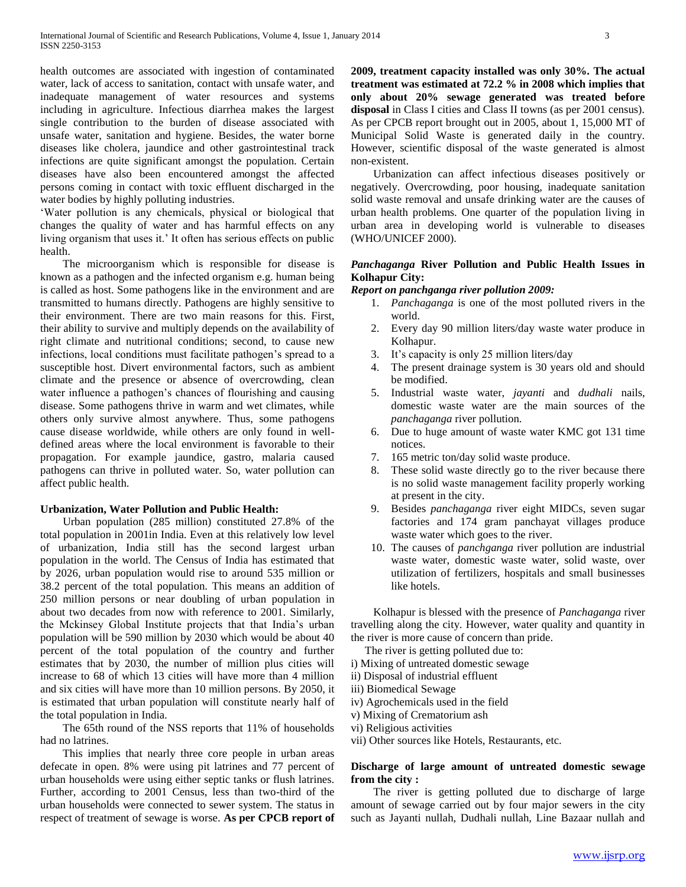health outcomes are associated with ingestion of contaminated water, lack of access to sanitation, contact with unsafe water, and inadequate management of water resources and systems including in agriculture. Infectious diarrhea makes the largest single contribution to the burden of disease associated with unsafe water, sanitation and hygiene. Besides, the water borne diseases like cholera, jaundice and other gastrointestinal track infections are quite significant amongst the population. Certain diseases have also been encountered amongst the affected persons coming in contact with toxic effluent discharged in the water bodies by highly polluting industries.

'Water pollution is any chemicals, physical or biological that changes the quality of water and has harmful effects on any living organism that uses it.' It often has serious effects on public health.

 The microorganism which is responsible for disease is known as a pathogen and the infected organism e.g. human being is called as host. Some pathogens like in the environment and are transmitted to humans directly. Pathogens are highly sensitive to their environment. There are two main reasons for this. First, their ability to survive and multiply depends on the availability of right climate and nutritional conditions; second, to cause new infections, local conditions must facilitate pathogen's spread to a susceptible host. Divert environmental factors, such as ambient climate and the presence or absence of overcrowding, clean water influence a pathogen's chances of flourishing and causing disease. Some pathogens thrive in warm and wet climates, while others only survive almost anywhere. Thus, some pathogens cause disease worldwide, while others are only found in welldefined areas where the local environment is favorable to their propagation. For example jaundice, gastro, malaria caused pathogens can thrive in polluted water. So, water pollution can affect public health.

# **Urbanization, Water Pollution and Public Health:**

 Urban population (285 million) constituted 27.8% of the total population in 2001in India. Even at this relatively low level of urbanization, India still has the second largest urban population in the world. The Census of India has estimated that by 2026, urban population would rise to around 535 million or 38.2 percent of the total population. This means an addition of 250 million persons or near doubling of urban population in about two decades from now with reference to 2001. Similarly, the Mckinsey Global Institute projects that that India's urban population will be 590 million by 2030 which would be about 40 percent of the total population of the country and further estimates that by 2030, the number of million plus cities will increase to 68 of which 13 cities will have more than 4 million and six cities will have more than 10 million persons. By 2050, it is estimated that urban population will constitute nearly half of the total population in India.

 The 65th round of the NSS reports that 11% of households had no latrines.

 This implies that nearly three core people in urban areas defecate in open. 8% were using pit latrines and 77 percent of urban households were using either septic tanks or flush latrines. Further, according to 2001 Census, less than two-third of the urban households were connected to sewer system. The status in respect of treatment of sewage is worse. **As per CPCB report of**  **2009, treatment capacity installed was only 30%. The actual treatment was estimated at 72.2 % in 2008 which implies that only about 20% sewage generated was treated before disposal** in Class I cities and Class II towns (as per 2001 census). As per CPCB report brought out in 2005, about 1, 15,000 MT of Municipal Solid Waste is generated daily in the country. However, scientific disposal of the waste generated is almost non-existent.

 Urbanization can affect infectious diseases positively or negatively. Overcrowding, poor housing, inadequate sanitation solid waste removal and unsafe drinking water are the causes of urban health problems. One quarter of the population living in urban area in developing world is vulnerable to diseases (WHO/UNICEF 2000).

# *Panchaganga* **River Pollution and Public Health Issues in Kolhapur City:**

# *Report on panchganga river pollution 2009:*

- 1. *Panchaganga* is one of the most polluted rivers in the world.
- 2. Every day 90 million liters/day waste water produce in Kolhapur.
- 3. It's capacity is only 25 million liters/day
- 4. The present drainage system is 30 years old and should be modified.
- 5. Industrial waste water, *jayanti* and *dudhali* nails, domestic waste water are the main sources of the *panchaganga* river pollution.
- 6. Due to huge amount of waste water KMC got 131 time notices.
- 7. 165 metric ton/day solid waste produce.
- 8. These solid waste directly go to the river because there is no solid waste management facility properly working at present in the city.
- 9. Besides *panchaganga* river eight MIDCs, seven sugar factories and 174 gram panchayat villages produce waste water which goes to the river.
- 10. The causes of *panchganga* river pollution are industrial waste water, domestic waste water, solid waste, over utilization of fertilizers, hospitals and small businesses like hotels.

 Kolhapur is blessed with the presence of *Panchaganga* river travelling along the city. However, water quality and quantity in the river is more cause of concern than pride.

The river is getting polluted due to:

- i) Mixing of untreated domestic sewage
- ii) Disposal of industrial effluent
- iii) Biomedical Sewage
- iv) Agrochemicals used in the field
- v) Mixing of Crematorium ash
- vi) Religious activities
- vii) Other sources like Hotels, Restaurants, etc.

# **Discharge of large amount of untreated domestic sewage from the city :**

 The river is getting polluted due to discharge of large amount of sewage carried out by four major sewers in the city such as Jayanti nullah, Dudhali nullah, Line Bazaar nullah and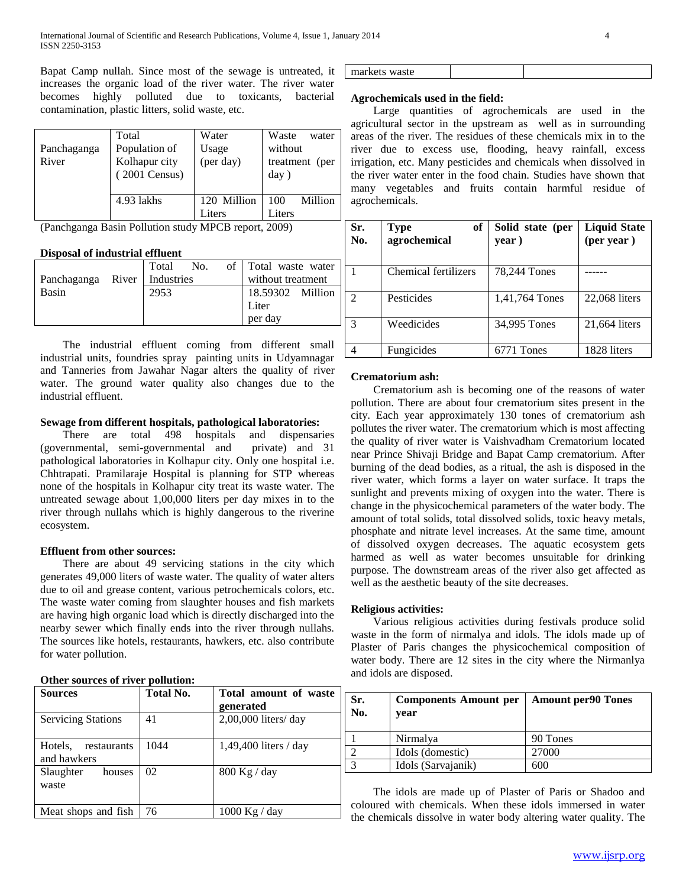Bapat Camp nullah. Since most of the sewage is untreated, it increases the organic load of the river water. The river water becomes highly polluted due to toxicants, bacterial contamination, plastic litters, solid waste, etc.

| Panchaganga<br>River | Total<br>Population of<br>Kolhapur city<br>(2001 Census) | Water<br>Usage<br>(per day) | Waste<br>water<br>without<br>treatment (per<br>day) |
|----------------------|----------------------------------------------------------|-----------------------------|-----------------------------------------------------|
|                      | 4.93 lakhs                                               | 120 Million<br>Liters       | Million<br>100<br>Liters                            |

(Panchganga Basin Pollution study MPCB report, 2009)

## **Disposal of industrial effluent**

|                                | Total No. |  | of   Total waste water |  |
|--------------------------------|-----------|--|------------------------|--|
| Panchaganga River   Industries |           |  | without treatment      |  |
| Basin                          | 2953      |  | 18.59302 Million       |  |
|                                |           |  | Liter                  |  |
|                                |           |  | per day                |  |

 The industrial effluent coming from different small industrial units, foundries spray painting units in Udyamnagar and Tanneries from Jawahar Nagar alters the quality of river water. The ground water quality also changes due to the industrial effluent.

# **Sewage from different hospitals, pathological laboratories:**

 There are total 498 hospitals and dispensaries (governmental, semi-governmental and private) and 31 pathological laboratories in Kolhapur city. Only one hospital i.e. Chhtrapati. Pramilaraje Hospital is planning for STP whereas none of the hospitals in Kolhapur city treat its waste water. The untreated sewage about 1,00,000 liters per day mixes in to the river through nullahs which is highly dangerous to the riverine ecosystem.

## **Effluent from other sources:**

 There are about 49 servicing stations in the city which generates 49,000 liters of waste water. The quality of water alters due to oil and grease content, various petrochemicals colors, etc. The waste water coming from slaughter houses and fish markets are having high organic load which is directly discharged into the nearby sewer which finally ends into the river through nullahs. The sources like hotels, restaurants, hawkers, etc. also contribute for water pollution.

# **Other sources of river pollution:**

| Sources                               | Total No. | Total amount of waste<br>generated |
|---------------------------------------|-----------|------------------------------------|
| <b>Servicing Stations</b>             | 41        | 2,00,000 liters/ day               |
| Hotels,<br>restaurants<br>and hawkers | 1044      | $1,49,400$ liters / day            |
| Slaughter<br>houses<br>waste          | 02        | $800$ Kg / day                     |
| Meat shops and fish                   | 76        | $1000$ Kg / day                    |

| markets waste |
|---------------|
|---------------|

# **Agrochemicals used in the field:**

 Large quantities of agrochemicals are used in the agricultural sector in the upstream as well as in surrounding areas of the river. The residues of these chemicals mix in to the river due to excess use, flooding, heavy rainfall, excess irrigation, etc. Many pesticides and chemicals when dissolved in the river water enter in the food chain. Studies have shown that many vegetables and fruits contain harmful residue of agrochemicals.

| Sr.<br>No. | of<br><b>Type</b><br>agrochemical | Solid state (per<br>year) | <b>Liquid State</b><br>(per year) |
|------------|-----------------------------------|---------------------------|-----------------------------------|
|            | <b>Chemical fertilizers</b>       | 78,244 Tones              |                                   |
| 2          | Pesticides                        | 1,41,764 Tones            | 22,068 liters                     |
| 3          | Weedicides                        | 34,995 Tones              | 21,664 liters                     |
|            | Fungicides                        | 6771 Tones                | 1828 liters                       |

# **Crematorium ash:**

 Crematorium ash is becoming one of the reasons of water pollution. There are about four crematorium sites present in the city. Each year approximately 130 tones of crematorium ash pollutes the river water. The crematorium which is most affecting the quality of river water is Vaishvadham Crematorium located near Prince Shivaji Bridge and Bapat Camp crematorium. After burning of the dead bodies, as a ritual, the ash is disposed in the river water, which forms a layer on water surface. It traps the sunlight and prevents mixing of oxygen into the water. There is change in the physicochemical parameters of the water body. The amount of total solids, total dissolved solids, toxic heavy metals, phosphate and nitrate level increases. At the same time, amount of dissolved oxygen decreases. The aquatic ecosystem gets harmed as well as water becomes unsuitable for drinking purpose. The downstream areas of the river also get affected as well as the aesthetic beauty of the site decreases.

# **Religious activities:**

 Various religious activities during festivals produce solid waste in the form of nirmalya and idols. The idols made up of Plaster of Paris changes the physicochemical composition of water body. There are 12 sites in the city where the Nirmanlya and idols are disposed.

| Sr.<br>No. | <b>Components Amount per</b><br>year | <b>Amount per90 Tones</b> |
|------------|--------------------------------------|---------------------------|
|            | Nirmalya                             | 90 Tones                  |
|            | Idols (domestic)                     | 27000                     |
|            | Idols (Sarvajanik)                   | 600                       |

 The idols are made up of Plaster of Paris or Shadoo and coloured with chemicals. When these idols immersed in water the chemicals dissolve in water body altering water quality. The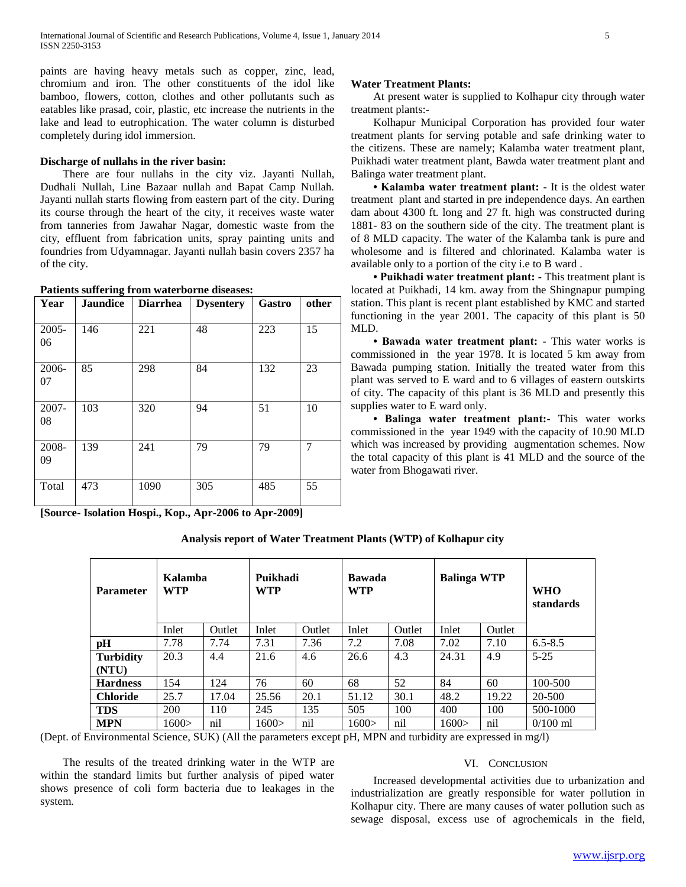paints are having heavy metals such as copper, zinc, lead, chromium and iron. The other constituents of the idol like bamboo, flowers, cotton, clothes and other pollutants such as eatables like prasad, coir, plastic, etc increase the nutrients in the lake and lead to eutrophication. The water column is disturbed completely during idol immersion.

## **Discharge of nullahs in the river basin:**

 There are four nullahs in the city viz. Jayanti Nullah, Dudhali Nullah, Line Bazaar nullah and Bapat Camp Nullah. Jayanti nullah starts flowing from eastern part of the city. During its course through the heart of the city, it receives waste water from tanneries from Jawahar Nagar, domestic waste from the city, effluent from fabrication units, spray painting units and foundries from Udyamnagar. Jayanti nullah basin covers 2357 ha of the city.

| Patients suffering from waterborne diseases: |  |  |  |
|----------------------------------------------|--|--|--|
|----------------------------------------------|--|--|--|

| Year           | <b>Jaundice</b> | <b>Diarrhea</b> | <b>Dysentery</b> | Gastro | other |
|----------------|-----------------|-----------------|------------------|--------|-------|
| $2005 -$<br>06 | 146             | 221             | 48               | 223    | 15    |
| 2006-<br>07    | 85              | 298             | 84               | 132    | 23    |
| 2007-<br>08    | 103             | 320             | 94               | 51     | 10    |
| 2008-<br>09    | 139             | 241             | 79               | 79     | 7     |
| Total          | 473             | 1090            | 305              | 485    | 55    |

**[Source- Isolation Hospi., Kop., Apr-2006 to Apr-2009]**

# **Water Treatment Plants:**

 At present water is supplied to Kolhapur city through water treatment plants:-

 Kolhapur Municipal Corporation has provided four water treatment plants for serving potable and safe drinking water to the citizens. These are namely; Kalamba water treatment plant, Puikhadi water treatment plant, Bawda water treatment plant and Balinga water treatment plant.

 **• Kalamba water treatment plant: -** It is the oldest water treatment plant and started in pre independence days. An earthen dam about 4300 ft. long and 27 ft. high was constructed during 1881- 83 on the southern side of the city. The treatment plant is of 8 MLD capacity. The water of the Kalamba tank is pure and wholesome and is filtered and chlorinated. Kalamba water is available only to a portion of the city i.e to B ward .

 **• Puikhadi water treatment plant: -** This treatment plant is located at Puikhadi, 14 km. away from the Shingnapur pumping station. This plant is recent plant established by KMC and started functioning in the year 2001. The capacity of this plant is 50 MLD.

 **• Bawada water treatment plant: -** This water works is commissioned in the year 1978. It is located 5 km away from Bawada pumping station. Initially the treated water from this plant was served to E ward and to 6 villages of eastern outskirts of city. The capacity of this plant is 36 MLD and presently this supplies water to E ward only.

 **• Balinga water treatment plant:-** This water works commissioned in the year 1949 with the capacity of 10.90 MLD which was increased by providing augmentation schemes. Now the total capacity of this plant is 41 MLD and the source of the water from Bhogawati river.

**Analysis report of Water Treatment Plants (WTP) of Kolhapur city**

| <b>Parameter</b> | Kalamba<br><b>WTP</b> |        | Puikhadi<br><b>WTP</b> |        | <b>Bawada</b><br><b>WTP</b> |        | <b>Balinga WTP</b> |        | <b>WHO</b><br>standards |
|------------------|-----------------------|--------|------------------------|--------|-----------------------------|--------|--------------------|--------|-------------------------|
|                  | Inlet                 | Outlet | Inlet                  | Outlet | Inlet                       | Outlet | Inlet              | Outlet |                         |
| pH               | 7.78                  | 7.74   | 7.31                   | 7.36   | 7.2                         | 7.08   | 7.02               | 7.10   | $6.5 - 8.5$             |
| <b>Turbidity</b> | 20.3                  | 4.4    | 21.6                   | 4.6    | 26.6                        | 4.3    | 24.31              | 4.9    | $5 - 25$                |
| (NTU)            |                       |        |                        |        |                             |        |                    |        |                         |
| <b>Hardness</b>  | 154                   | 124    | 76                     | 60     | 68                          | 52     | 84                 | 60     | 100-500                 |
| <b>Chloride</b>  | 25.7                  | 17.04  | 25.56                  | 20.1   | 51.12                       | 30.1   | 48.2               | 19.22  | 20-500                  |
| <b>TDS</b>       | 200                   | 110    | 245                    | 135    | 505                         | 100    | 400                | 100    | 500-1000                |
| <b>MPN</b>       | 1600 >                | nil    | 1600>                  | nil    | 1600 >                      | nil    | 1600 >             | nil    | $0/100$ ml              |

(Dept. of Environmental Science, SUK) (All the parameters except pH, MPN and turbidity are expressed in mg/l)

 The results of the treated drinking water in the WTP are within the standard limits but further analysis of piped water shows presence of coli form bacteria due to leakages in the system.

## VI. CONCLUSION

 Increased developmental activities due to urbanization and industrialization are greatly responsible for water pollution in Kolhapur city. There are many causes of water pollution such as sewage disposal, excess use of agrochemicals in the field,